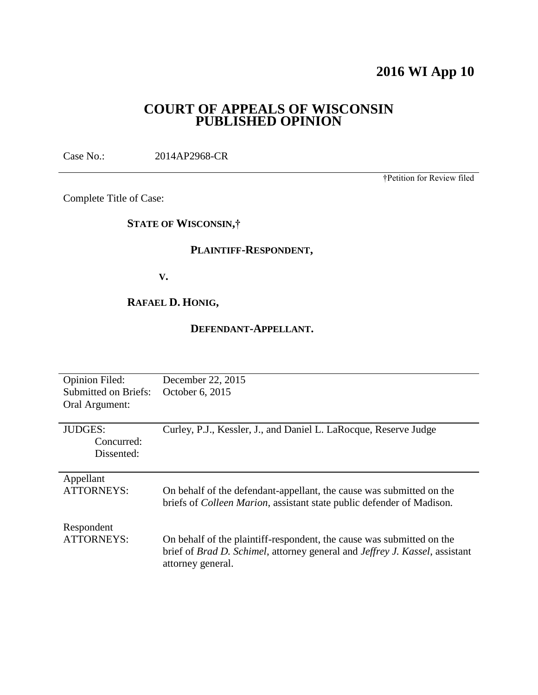# **2016 WI App 10**

## **COURT OF APPEALS OF WISCONSIN PUBLISHED OPINION**

Case No.: 2014AP2968-CR

†Petition for Review filed

Complete Title of Case:

## **STATE OF WISCONSIN,†**

## **PLAINTIFF-RESPONDENT,**

**V.**

## **RAFAEL D. HONIG,**

## **DEFENDANT-APPELLANT.**

| <b>Opinion Filed:</b><br>Submitted on Briefs:<br>Oral Argument: | December 22, 2015<br>October 6, 2015                                                                                                                                      |
|-----------------------------------------------------------------|---------------------------------------------------------------------------------------------------------------------------------------------------------------------------|
| <b>JUDGES:</b><br>Concurred:<br>Dissented:                      | Curley, P.J., Kessler, J., and Daniel L. LaRocque, Reserve Judge                                                                                                          |
| Appellant<br><b>ATTORNEYS:</b>                                  | On behalf of the defendant-appellant, the cause was submitted on the<br>briefs of <i>Colleen Marion</i> , assistant state public defender of Madison.                     |
| Respondent<br>ATTORNEYS:                                        | On behalf of the plaintiff-respondent, the cause was submitted on the<br>brief of Brad D. Schimel, attorney general and Jeffrey J. Kassel, assistant<br>attorney general. |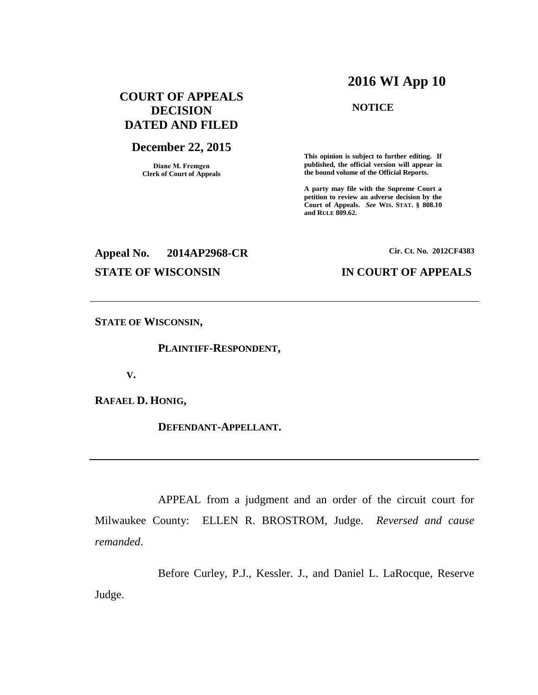## **2016 WI App 10**

## **COURT OF APPEALS DECISION DATED AND FILED**

#### **December 22, 2015**

**Diane M. Fremgen Clerk of Court of Appeals**

### **NOTICE**

**This opinion is subject to further editing. If published, the official version will appear in the bound volume of the Official Reports.** 

**A party may file with the Supreme Court a petition to review an adverse decision by the Court of Appeals.** *See* **WIS. STAT. § 808.10 and RULE 809.62.** 

# **Appeal No. 2014AP2968-CR Cir. Ct. No. 2012CF4383 STATE OF WISCONSIN IN COURT OF APPEALS**

**STATE OF WISCONSIN,**

**PLAINTIFF-RESPONDENT,**

**V.**

**RAFAEL D. HONIG,**

**DEFENDANT-APPELLANT.**

APPEAL from a judgment and an order of the circuit court for Milwaukee County: ELLEN R. BROSTROM, Judge. *Reversed and cause remanded*.

Before Curley, P.J., Kessler. J., and Daniel L. LaRocque, Reserve Judge.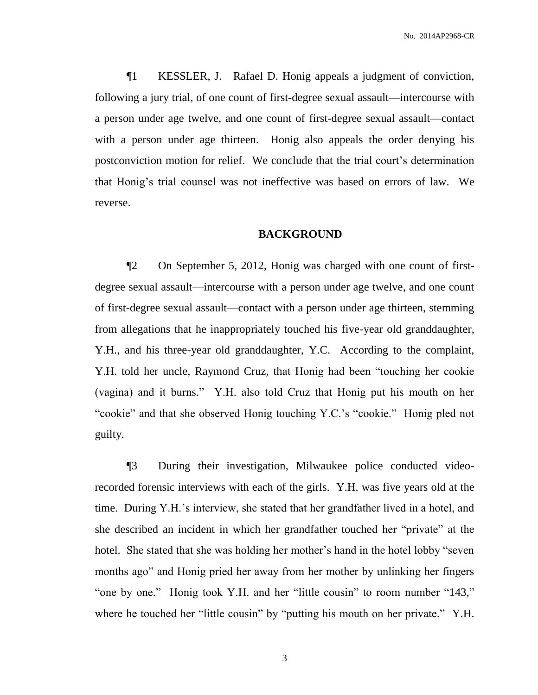No. 2014AP2968-CR

¶1 KESSLER, J. Rafael D. Honig appeals a judgment of conviction, following a jury trial, of one count of first-degree sexual assault—intercourse with a person under age twelve, and one count of first-degree sexual assault—contact with a person under age thirteen. Honig also appeals the order denying his postconviction motion for relief. We conclude that the trial court's determination that Honig's trial counsel was not ineffective was based on errors of law. We reverse.

#### **BACKGROUND**

¶2 On September 5, 2012, Honig was charged with one count of firstdegree sexual assault—intercourse with a person under age twelve, and one count of first-degree sexual assault—contact with a person under age thirteen, stemming from allegations that he inappropriately touched his five-year old granddaughter, Y.H., and his three-year old granddaughter, Y.C. According to the complaint, Y.H. told her uncle, Raymond Cruz, that Honig had been "touching her cookie (vagina) and it burns." Y.H. also told Cruz that Honig put his mouth on her "cookie" and that she observed Honig touching Y.C.'s "cookie." Honig pled not guilty.

¶3 During their investigation, Milwaukee police conducted videorecorded forensic interviews with each of the girls. Y.H. was five years old at the time. During Y.H.'s interview, she stated that her grandfather lived in a hotel, and she described an incident in which her grandfather touched her "private" at the hotel. She stated that she was holding her mother's hand in the hotel lobby "seven months ago" and Honig pried her away from her mother by unlinking her fingers "one by one." Honig took Y.H. and her "little cousin" to room number "143," where he touched her "little cousin" by "putting his mouth on her private." Y.H.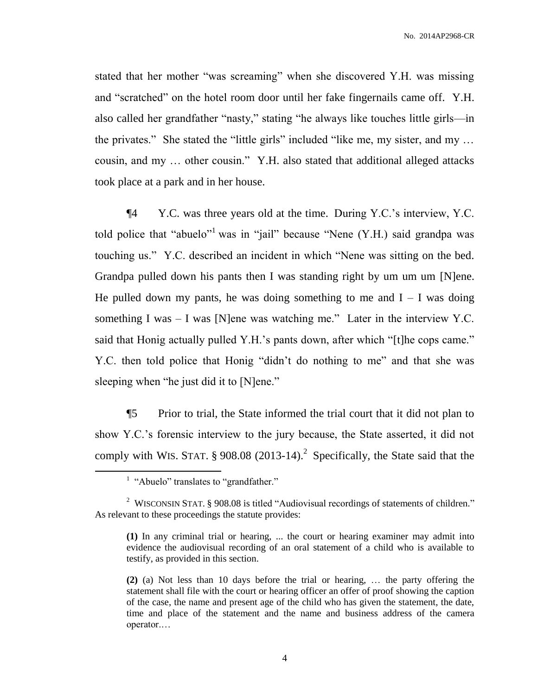stated that her mother "was screaming" when she discovered Y.H. was missing and "scratched" on the hotel room door until her fake fingernails came off. Y.H. also called her grandfather "nasty," stating "he always like touches little girls—in the privates." She stated the "little girls" included "like me, my sister, and my … cousin, and my … other cousin." Y.H. also stated that additional alleged attacks took place at a park and in her house.

¶4 Y.C. was three years old at the time. During Y.C.'s interview, Y.C. told police that "abuelo"<sup>1</sup> was in "jail" because "Nene  $(Y.H.)$  said grandpa was touching us." Y.C. described an incident in which "Nene was sitting on the bed. Grandpa pulled down his pants then I was standing right by um um um [N]ene. He pulled down my pants, he was doing something to me and  $I - I$  was doing something I was  $-$  I was [N]ene was watching me." Later in the interview Y.C. said that Honig actually pulled Y.H.'s pants down, after which "[t]he cops came." Y.C. then told police that Honig "didn't do nothing to me" and that she was sleeping when "he just did it to [N]ene."

¶5 Prior to trial, the State informed the trial court that it did not plan to show Y.C.'s forensic interview to the jury because, the State asserted, it did not comply with WIS. STAT.  $\S 908.08$  (2013-14).<sup>2</sup> Specifically, the State said that the

 $\overline{a}$ 

<sup>&</sup>lt;sup>1</sup> "Abuelo" translates to "grandfather."

<sup>&</sup>lt;sup>2</sup> WISCONSIN STAT. § 908.08 is titled "Audiovisual recordings of statements of children." As relevant to these proceedings the statute provides:

**<sup>(1)</sup>** In any criminal trial or hearing, ... the court or hearing examiner may admit into evidence the audiovisual recording of an oral statement of a child who is available to testify, as provided in this section.

**<sup>(2)</sup>** (a) Not less than 10 days before the trial or hearing, … the party offering the statement shall file with the court or hearing officer an offer of proof showing the caption of the case, the name and present age of the child who has given the statement, the date, time and place of the statement and the name and business address of the camera operator.…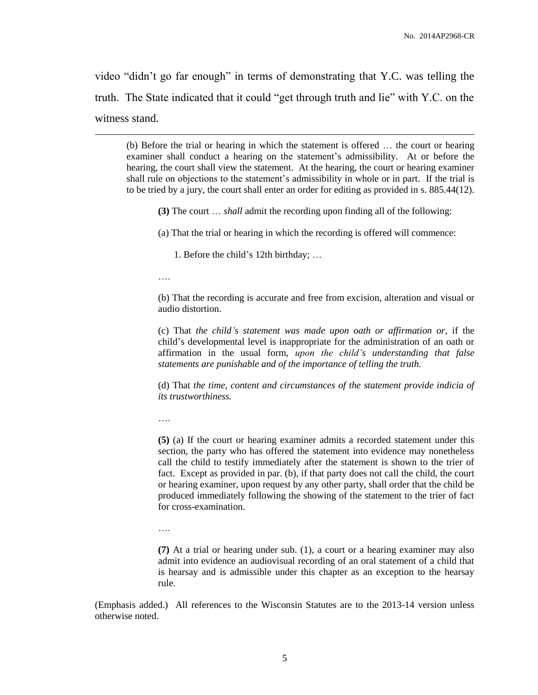video "didn't go far enough" in terms of demonstrating that Y.C. was telling the truth. The State indicated that it could "get through truth and lie" with Y.C. on the witness stand.

(b) Before the trial or hearing in which the statement is offered … the court or hearing examiner shall conduct a hearing on the statement's admissibility. At or before the hearing, the court shall view the statement. At the hearing, the court or hearing examiner shall rule on objections to the statement's admissibility in whole or in part. If the trial is to be tried by a jury, the court shall enter an order for editing as provided in s. 885.44(12).

**(3)** The court … *shall* admit the recording upon finding all of the following:

(a) That the trial or hearing in which the recording is offered will commence:

1. Before the child's 12th birthday; …

….

 $\overline{a}$ 

(b) That the recording is accurate and free from excision, alteration and visual or audio distortion.

(c) That *the child's statement was made upon oath or affirmation or*, if the child's developmental level is inappropriate for the administration of an oath or affirmation in the usual form, *upon the child's understanding that false statements are punishable and of the importance of telling the truth.*

(d) That *the time, content and circumstances of the statement provide indicia of its trustworthiness.*

….

**(5)** (a) If the court or hearing examiner admits a recorded statement under this section, the party who has offered the statement into evidence may nonetheless call the child to testify immediately after the statement is shown to the trier of fact. Except as provided in par. (b), if that party does not call the child, the court or hearing examiner, upon request by any other party, shall order that the child be produced immediately following the showing of the statement to the trier of fact for cross-examination.

**(7)** At a trial or hearing under sub. (1), a court or a hearing examiner may also admit into evidence an audiovisual recording of an oral statement of a child that is hearsay and is admissible under this chapter as an exception to the hearsay rule.

(Emphasis added.) All references to the Wisconsin Statutes are to the 2013-14 version unless otherwise noted.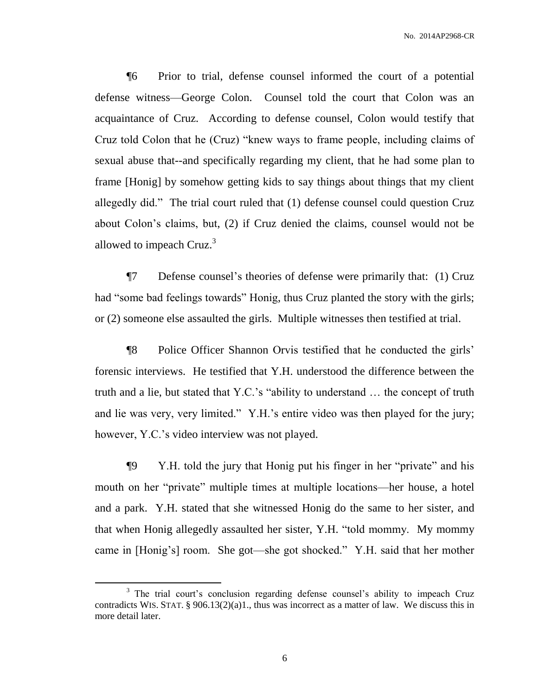¶6 Prior to trial, defense counsel informed the court of a potential defense witness—George Colon. Counsel told the court that Colon was an acquaintance of Cruz. According to defense counsel, Colon would testify that Cruz told Colon that he (Cruz) "knew ways to frame people, including claims of sexual abuse that--and specifically regarding my client, that he had some plan to frame [Honig] by somehow getting kids to say things about things that my client allegedly did." The trial court ruled that (1) defense counsel could question Cruz about Colon's claims, but, (2) if Cruz denied the claims, counsel would not be allowed to impeach Cruz. $3$ 

¶7 Defense counsel's theories of defense were primarily that: (1) Cruz had "some bad feelings towards" Honig, thus Cruz planted the story with the girls; or (2) someone else assaulted the girls. Multiple witnesses then testified at trial.

¶8 Police Officer Shannon Orvis testified that he conducted the girls' forensic interviews. He testified that Y.H. understood the difference between the truth and a lie, but stated that Y.C.'s "ability to understand … the concept of truth and lie was very, very limited." Y.H.'s entire video was then played for the jury; however, Y.C.'s video interview was not played.

¶9 Y.H. told the jury that Honig put his finger in her "private" and his mouth on her "private" multiple times at multiple locations—her house, a hotel and a park. Y.H. stated that she witnessed Honig do the same to her sister, and that when Honig allegedly assaulted her sister, Y.H. "told mommy. My mommy came in [Honig's] room. She got—she got shocked." Y.H. said that her mother

 $\overline{a}$ 

<sup>&</sup>lt;sup>3</sup> The trial court's conclusion regarding defense counsel's ability to impeach Cruz contradicts WIS. STAT. §  $906.13(2)(a)1$ ., thus was incorrect as a matter of law. We discuss this in more detail later.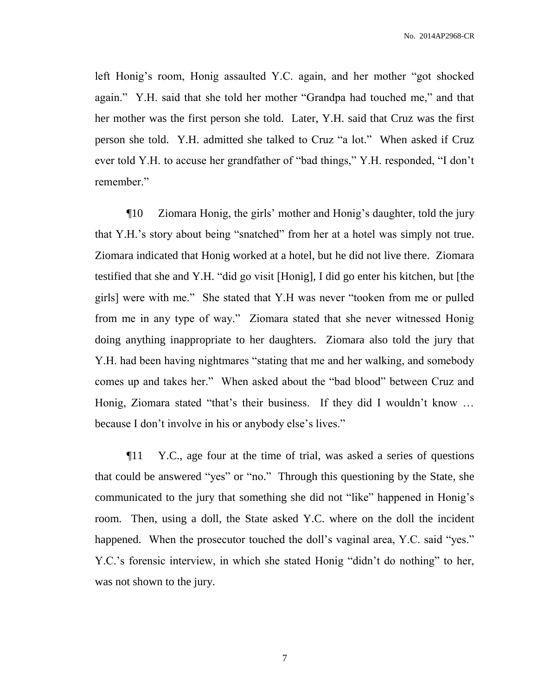left Honig's room, Honig assaulted Y.C. again, and her mother "got shocked again." Y.H. said that she told her mother "Grandpa had touched me," and that her mother was the first person she told. Later, Y.H. said that Cruz was the first person she told. Y.H. admitted she talked to Cruz "a lot." When asked if Cruz ever told Y.H. to accuse her grandfather of "bad things," Y.H. responded, "I don't remember."

¶10 Ziomara Honig, the girls' mother and Honig's daughter, told the jury that Y.H.'s story about being "snatched" from her at a hotel was simply not true. Ziomara indicated that Honig worked at a hotel, but he did not live there. Ziomara testified that she and Y.H. "did go visit [Honig], I did go enter his kitchen, but [the girls] were with me." She stated that Y.H was never "tooken from me or pulled from me in any type of way." Ziomara stated that she never witnessed Honig doing anything inappropriate to her daughters. Ziomara also told the jury that Y.H. had been having nightmares "stating that me and her walking, and somebody comes up and takes her." When asked about the "bad blood" between Cruz and Honig, Ziomara stated "that's their business. If they did I wouldn't know ... because I don't involve in his or anybody else's lives."

¶11 Y.C., age four at the time of trial, was asked a series of questions that could be answered "yes" or "no." Through this questioning by the State, she communicated to the jury that something she did not "like" happened in Honig's room. Then, using a doll, the State asked Y.C. where on the doll the incident happened. When the prosecutor touched the doll's vaginal area, Y.C. said "yes." Y.C.'s forensic interview, in which she stated Honig "didn't do nothing" to her, was not shown to the jury.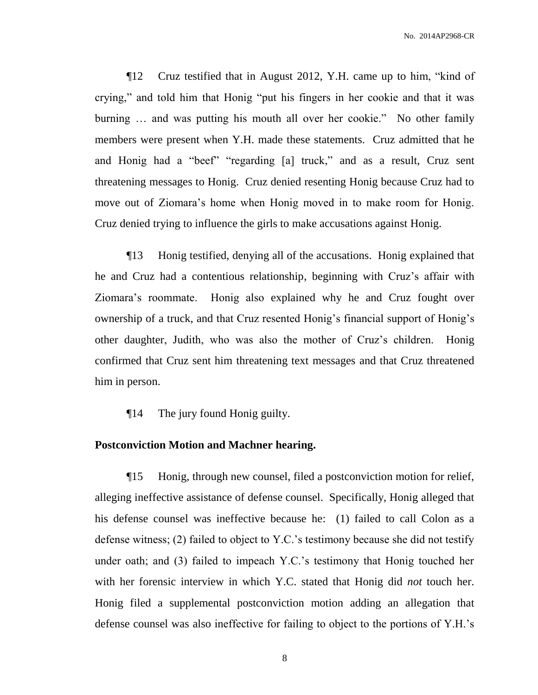¶12 Cruz testified that in August 2012, Y.H. came up to him, "kind of crying," and told him that Honig "put his fingers in her cookie and that it was burning … and was putting his mouth all over her cookie." No other family members were present when Y.H. made these statements. Cruz admitted that he and Honig had a "beef" "regarding [a] truck," and as a result, Cruz sent threatening messages to Honig. Cruz denied resenting Honig because Cruz had to move out of Ziomara's home when Honig moved in to make room for Honig. Cruz denied trying to influence the girls to make accusations against Honig.

¶13 Honig testified, denying all of the accusations. Honig explained that he and Cruz had a contentious relationship, beginning with Cruz's affair with Ziomara's roommate. Honig also explained why he and Cruz fought over ownership of a truck, and that Cruz resented Honig's financial support of Honig's other daughter, Judith, who was also the mother of Cruz's children. Honig confirmed that Cruz sent him threatening text messages and that Cruz threatened him in person.

¶14 The jury found Honig guilty.

## **Postconviction Motion and Machner hearing.**

¶15 Honig, through new counsel, filed a postconviction motion for relief, alleging ineffective assistance of defense counsel. Specifically, Honig alleged that his defense counsel was ineffective because he: (1) failed to call Colon as a defense witness; (2) failed to object to Y.C.'s testimony because she did not testify under oath; and (3) failed to impeach Y.C.'s testimony that Honig touched her with her forensic interview in which Y.C. stated that Honig did *not* touch her. Honig filed a supplemental postconviction motion adding an allegation that defense counsel was also ineffective for failing to object to the portions of Y.H.'s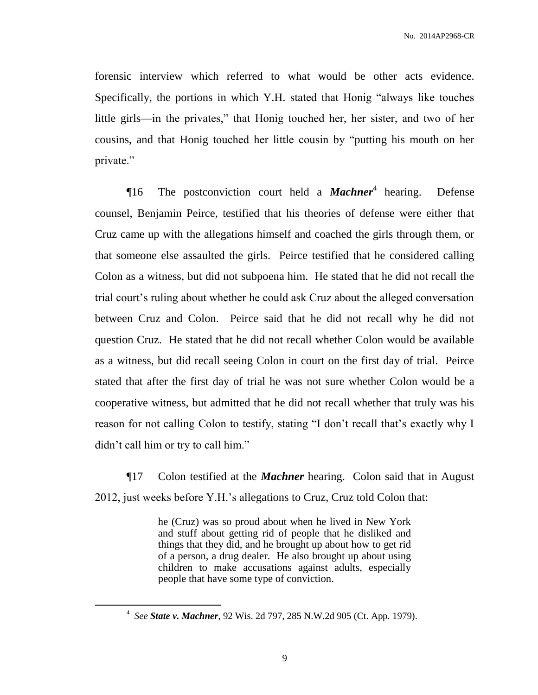forensic interview which referred to what would be other acts evidence. Specifically, the portions in which Y.H. stated that Honig "always like touches little girls—in the privates," that Honig touched her, her sister, and two of her cousins, and that Honig touched her little cousin by "putting his mouth on her private."

¶16 The postconviction court held a *Machner*<sup>4</sup> hearing. Defense counsel, Benjamin Peirce, testified that his theories of defense were either that Cruz came up with the allegations himself and coached the girls through them, or that someone else assaulted the girls. Peirce testified that he considered calling Colon as a witness, but did not subpoena him. He stated that he did not recall the trial court's ruling about whether he could ask Cruz about the alleged conversation between Cruz and Colon. Peirce said that he did not recall why he did not question Cruz. He stated that he did not recall whether Colon would be available as a witness, but did recall seeing Colon in court on the first day of trial. Peirce stated that after the first day of trial he was not sure whether Colon would be a cooperative witness, but admitted that he did not recall whether that truly was his reason for not calling Colon to testify, stating "I don't recall that's exactly why I didn't call him or try to call him."

¶17 Colon testified at the *Machner* hearing. Colon said that in August 2012, just weeks before Y.H.'s allegations to Cruz, Cruz told Colon that:

> he (Cruz) was so proud about when he lived in New York and stuff about getting rid of people that he disliked and things that they did, and he brought up about how to get rid of a person, a drug dealer. He also brought up about using children to make accusations against adults, especially people that have some type of conviction.

 $\overline{a}$ 

<sup>4</sup> *See State v. Machner*, 92 Wis. 2d 797, 285 N.W.2d 905 (Ct. App. 1979).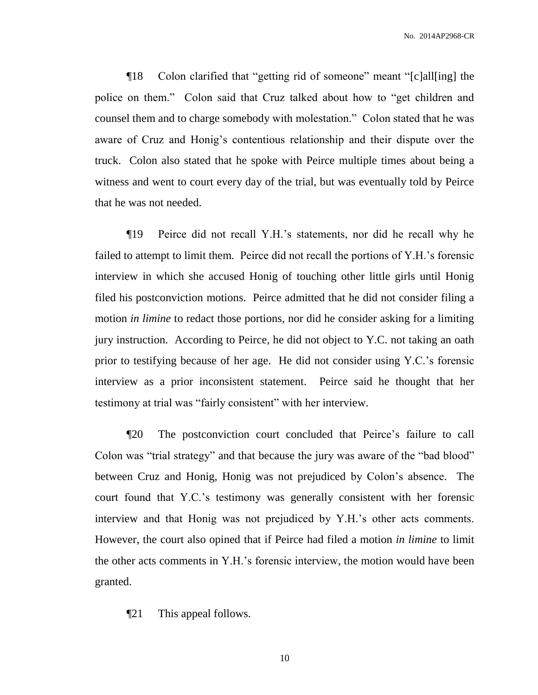¶18 Colon clarified that "getting rid of someone" meant "[c]all[ing] the police on them." Colon said that Cruz talked about how to "get children and counsel them and to charge somebody with molestation." Colon stated that he was aware of Cruz and Honig's contentious relationship and their dispute over the truck. Colon also stated that he spoke with Peirce multiple times about being a witness and went to court every day of the trial, but was eventually told by Peirce that he was not needed.

¶19 Peirce did not recall Y.H.'s statements, nor did he recall why he failed to attempt to limit them. Peirce did not recall the portions of Y.H.'s forensic interview in which she accused Honig of touching other little girls until Honig filed his postconviction motions. Peirce admitted that he did not consider filing a motion *in limine* to redact those portions, nor did he consider asking for a limiting jury instruction. According to Peirce, he did not object to Y.C. not taking an oath prior to testifying because of her age. He did not consider using Y.C.'s forensic interview as a prior inconsistent statement. Peirce said he thought that her testimony at trial was "fairly consistent" with her interview.

¶20 The postconviction court concluded that Peirce's failure to call Colon was "trial strategy" and that because the jury was aware of the "bad blood" between Cruz and Honig, Honig was not prejudiced by Colon's absence. The court found that Y.C.'s testimony was generally consistent with her forensic interview and that Honig was not prejudiced by Y.H.'s other acts comments. However, the court also opined that if Peirce had filed a motion *in limine* to limit the other acts comments in Y.H.'s forensic interview, the motion would have been granted.

¶21 This appeal follows.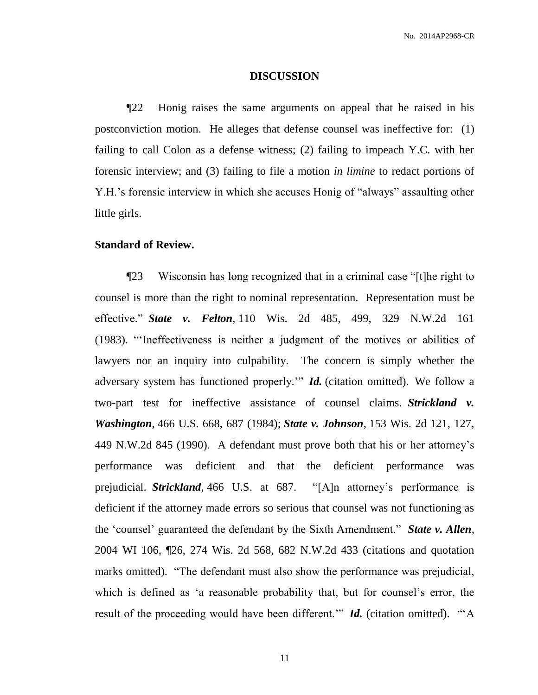#### **DISCUSSION**

¶22 Honig raises the same arguments on appeal that he raised in his postconviction motion. He alleges that defense counsel was ineffective for: (1) failing to call Colon as a defense witness; (2) failing to impeach Y.C. with her forensic interview; and (3) failing to file a motion *in limine* to redact portions of Y.H.'s forensic interview in which she accuses Honig of "always" assaulting other little girls.

#### **Standard of Review.**

¶23 Wisconsin has long recognized that in a criminal case "[t]he right to counsel is more than the right to nominal representation. Representation must be effective." *State v. Felton*, 110 Wis. 2d 485, 499, 329 N.W.2d 161 (1983). "'Ineffectiveness is neither a judgment of the motives or abilities of lawyers nor an inquiry into culpability. The concern is simply whether the adversary system has functioned properly.'" *Id.* (citation omitted). We follow a two-part test for ineffective assistance of counsel claims. *Strickland v. Washington*, 466 U.S. 668, 687 (1984); *State v. Johnson*, 153 Wis. 2d 121, 127, 449 N.W.2d 845 (1990). A defendant must prove both that his or her attorney's performance was deficient and that the deficient performance was prejudicial. *Strickland*, 466 U.S. at 687. "[A]n attorney's performance is deficient if the attorney made errors so serious that counsel was not functioning as the 'counsel' guaranteed the defendant by the Sixth Amendment." *State v. Allen*, 2004 WI 106, ¶26, 274 Wis. 2d 568, 682 N.W.2d 433 (citations and quotation marks omitted). "The defendant must also show the performance was prejudicial, which is defined as 'a reasonable probability that, but for counsel's error, the result of the proceeding would have been different." *Id.* (citation omitted). "A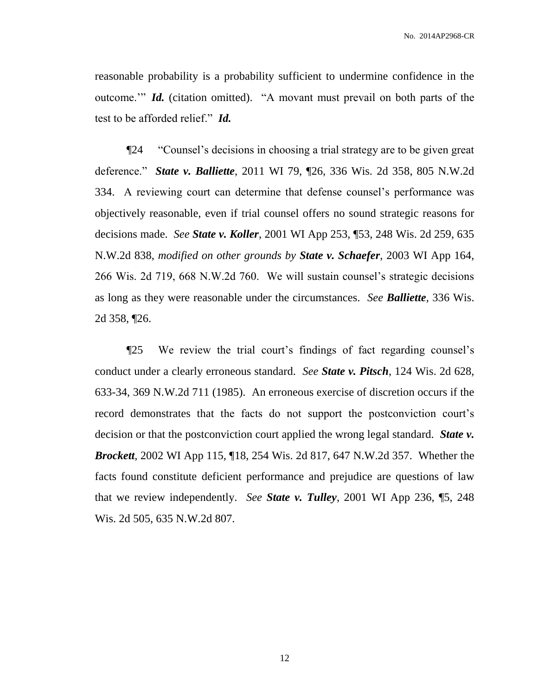reasonable probability is a probability sufficient to undermine confidence in the outcome.'" *Id.* (citation omitted). "A movant must prevail on both parts of the test to be afforded relief." *Id.*

¶24 "Counsel's decisions in choosing a trial strategy are to be given great deference." *State v. Balliette*, 2011 WI 79, ¶26, 336 Wis. 2d 358, 805 N.W.2d 334. A reviewing court can determine that defense counsel's performance was objectively reasonable, even if trial counsel offers no sound strategic reasons for decisions made. *See State v. Koller*, 2001 WI App 253, ¶53, 248 Wis. 2d 259, 635 N.W.2d 838, *modified on other grounds by State v. Schaefer*, 2003 WI App 164, 266 Wis. 2d 719, 668 N.W.2d 760. We will sustain counsel's strategic decisions as long as they were reasonable under the circumstances. *See Balliette*, 336 Wis. 2d 358, ¶26.

¶25 We review the trial court's findings of fact regarding counsel's conduct under a clearly erroneous standard. *See State v. Pitsch*, 124 Wis. 2d 628, 633-34, 369 N.W.2d 711 (1985). An erroneous exercise of discretion occurs if the record demonstrates that the facts do not support the postconviction court's decision or that the postconviction court applied the wrong legal standard. *State v. Brockett*, 2002 WI App 115, ¶18, 254 Wis. 2d 817, 647 N.W.2d 357. Whether the facts found constitute deficient performance and prejudice are questions of law that we review independently. *See State v. Tulley*, 2001 WI App 236, ¶5, 248 Wis. 2d 505, 635 N.W.2d 807.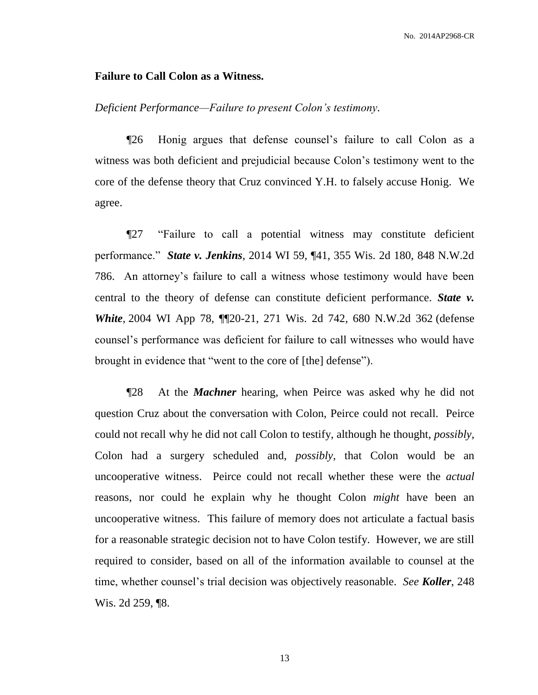#### **Failure to Call Colon as a Witness.**

## *Deficient Performance—Failure to present Colon's testimony.*

¶26 Honig argues that defense counsel's failure to call Colon as a witness was both deficient and prejudicial because Colon's testimony went to the core of the defense theory that Cruz convinced Y.H. to falsely accuse Honig. We agree.

¶27 "Failure to call a potential witness may constitute deficient performance." *State v. Jenkins*, 2014 WI 59, ¶41, 355 Wis. 2d 180, 848 N.W.2d 786. An attorney's failure to call a witness whose testimony would have been central to the theory of defense can constitute deficient performance. *State v. White*, 2004 WI App 78, ¶¶20-21, 271 Wis. 2d 742, 680 N.W.2d 362 (defense counsel's performance was deficient for failure to call witnesses who would have brought in evidence that "went to the core of [the] defense").

¶28 At the *Machner* hearing, when Peirce was asked why he did not question Cruz about the conversation with Colon, Peirce could not recall. Peirce could not recall why he did not call Colon to testify, although he thought, *possibly*, Colon had a surgery scheduled and, *possibly*, that Colon would be an uncooperative witness. Peirce could not recall whether these were the *actual* reasons, nor could he explain why he thought Colon *might* have been an uncooperative witness. This failure of memory does not articulate a factual basis for a reasonable strategic decision not to have Colon testify. However, we are still required to consider, based on all of the information available to counsel at the time, whether counsel's trial decision was objectively reasonable. *See Koller*, 248 Wis. 2d 259, ¶8.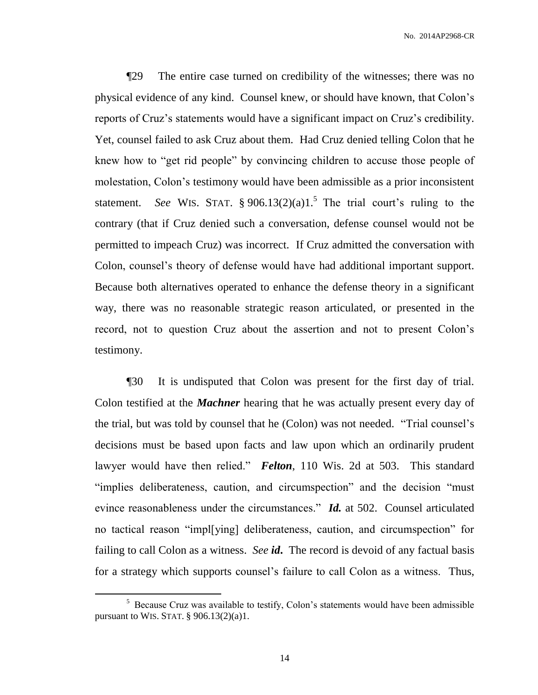No. 2014AP2968-CR

¶29 The entire case turned on credibility of the witnesses; there was no physical evidence of any kind. Counsel knew, or should have known, that Colon's reports of Cruz's statements would have a significant impact on Cruz's credibility. Yet, counsel failed to ask Cruz about them. Had Cruz denied telling Colon that he knew how to "get rid people" by convincing children to accuse those people of molestation, Colon's testimony would have been admissible as a prior inconsistent statement. *See* WIS. STAT.  $\S 906.13(2)(a)1.<sup>5</sup>$  The trial court's ruling to the contrary (that if Cruz denied such a conversation, defense counsel would not be permitted to impeach Cruz) was incorrect. If Cruz admitted the conversation with Colon, counsel's theory of defense would have had additional important support. Because both alternatives operated to enhance the defense theory in a significant way, there was no reasonable strategic reason articulated, or presented in the record, not to question Cruz about the assertion and not to present Colon's testimony.

¶30 It is undisputed that Colon was present for the first day of trial. Colon testified at the *Machner* hearing that he was actually present every day of the trial, but was told by counsel that he (Colon) was not needed. "Trial counsel's decisions must be based upon facts and law upon which an ordinarily prudent lawyer would have then relied." *Felton*, 110 Wis. 2d at 503. This standard "implies deliberateness, caution, and circumspection" and the decision "must evince reasonableness under the circumstances." *Id.* at 502. Counsel articulated no tactical reason "impl[ying] deliberateness, caution, and circumspection" for failing to call Colon as a witness. *See id***.** The record is devoid of any factual basis for a strategy which supports counsel's failure to call Colon as a witness. Thus,

 $\overline{a}$ 

<sup>&</sup>lt;sup>5</sup> Because Cruz was available to testify, Colon's statements would have been admissible pursuant to WIS. STAT. § 906.13(2)(a)1.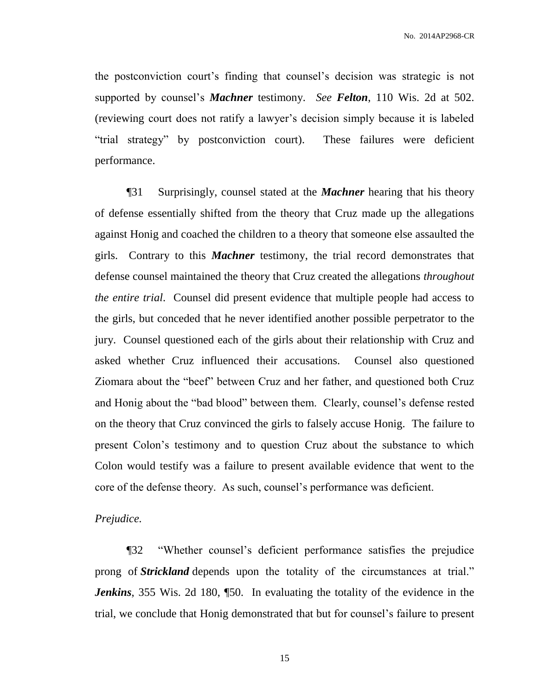the postconviction court's finding that counsel's decision was strategic is not supported by counsel's *Machner* testimony. *See Felton*, 110 Wis. 2d at 502. (reviewing court does not ratify a lawyer's decision simply because it is labeled "trial strategy" by postconviction court). These failures were deficient performance.

¶31 Surprisingly, counsel stated at the *Machner* hearing that his theory of defense essentially shifted from the theory that Cruz made up the allegations against Honig and coached the children to a theory that someone else assaulted the girls. Contrary to this *Machner* testimony, the trial record demonstrates that defense counsel maintained the theory that Cruz created the allegations *throughout the entire trial*. Counsel did present evidence that multiple people had access to the girls, but conceded that he never identified another possible perpetrator to the jury. Counsel questioned each of the girls about their relationship with Cruz and asked whether Cruz influenced their accusations. Counsel also questioned Ziomara about the "beef" between Cruz and her father, and questioned both Cruz and Honig about the "bad blood" between them. Clearly, counsel's defense rested on the theory that Cruz convinced the girls to falsely accuse Honig. The failure to present Colon's testimony and to question Cruz about the substance to which Colon would testify was a failure to present available evidence that went to the core of the defense theory. As such, counsel's performance was deficient.

#### *Prejudice.*

¶32 "Whether counsel's deficient performance satisfies the prejudice prong of *Strickland* depends upon the totality of the circumstances at trial." *Jenkins*, 355 Wis. 2d 180, [50. In evaluating the totality of the evidence in the trial, we conclude that Honig demonstrated that but for counsel's failure to present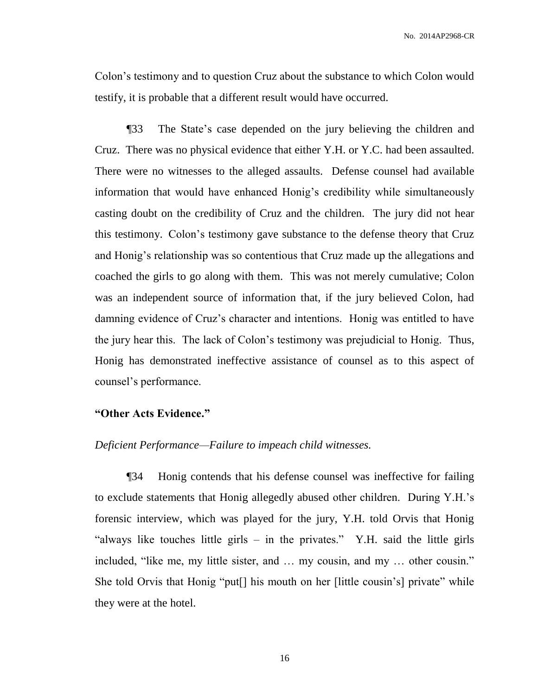No. 2014AP2968-CR

Colon's testimony and to question Cruz about the substance to which Colon would testify, it is probable that a different result would have occurred.

¶33 The State's case depended on the jury believing the children and Cruz. There was no physical evidence that either Y.H. or Y.C. had been assaulted. There were no witnesses to the alleged assaults. Defense counsel had available information that would have enhanced Honig's credibility while simultaneously casting doubt on the credibility of Cruz and the children. The jury did not hear this testimony. Colon's testimony gave substance to the defense theory that Cruz and Honig's relationship was so contentious that Cruz made up the allegations and coached the girls to go along with them. This was not merely cumulative; Colon was an independent source of information that, if the jury believed Colon, had damning evidence of Cruz's character and intentions. Honig was entitled to have the jury hear this. The lack of Colon's testimony was prejudicial to Honig. Thus, Honig has demonstrated ineffective assistance of counsel as to this aspect of counsel's performance.

#### **"Other Acts Evidence."**

#### *Deficient Performance—Failure to impeach child witnesses.*

¶34 Honig contends that his defense counsel was ineffective for failing to exclude statements that Honig allegedly abused other children. During Y.H.'s forensic interview, which was played for the jury, Y.H. told Orvis that Honig "always like touches little girls – in the privates." Y.H. said the little girls included, "like me, my little sister, and … my cousin, and my … other cousin." She told Orvis that Honig "put[] his mouth on her [little cousin's] private" while they were at the hotel.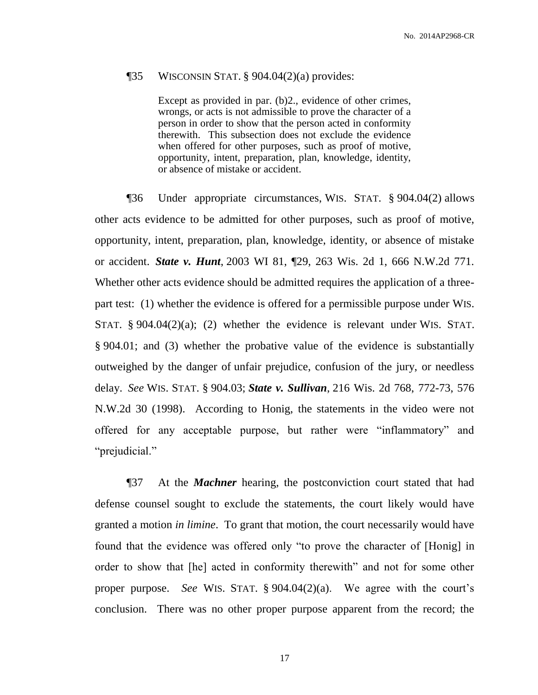#### $\P$ 35 WISCONSIN STAT. § 904.04 $(2)(a)$  provides:

Except as provided in par. (b)2., evidence of other crimes, wrongs, or acts is not admissible to prove the character of a person in order to show that the person acted in conformity therewith. This subsection does not exclude the evidence when offered for other purposes, such as proof of motive, opportunity, intent, preparation, plan, knowledge, identity, or absence of mistake or accident.

¶36 Under appropriate circumstances, WIS. STAT. § 904.04(2) allows other acts evidence to be admitted for other purposes, such as proof of motive, opportunity, intent, preparation, plan, knowledge, identity, or absence of mistake or accident. *State v. Hunt*, 2003 WI 81, ¶29, 263 Wis. 2d 1, 666 N.W.2d 771. Whether other acts evidence should be admitted requires the application of a threepart test: (1) whether the evidence is offered for a permissible purpose under WIS. STAT. § 904.04(2)(a); (2) whether the evidence is relevant under WIS. STAT. § 904.01; and (3) whether the probative value of the evidence is substantially outweighed by the danger of unfair prejudice, confusion of the jury, or needless delay. *See* WIS. STAT. § 904.03; *State v. Sullivan*, 216 Wis. 2d 768, 772-73, 576 N.W.2d 30 (1998). According to Honig, the statements in the video were not offered for any acceptable purpose, but rather were "inflammatory" and "prejudicial."

¶37 At the *Machner* hearing, the postconviction court stated that had defense counsel sought to exclude the statements, the court likely would have granted a motion *in limine*. To grant that motion, the court necessarily would have found that the evidence was offered only "to prove the character of [Honig] in order to show that [he] acted in conformity therewith" and not for some other proper purpose. *See* WIS. STAT. § 904.04(2)(a). We agree with the court's conclusion. There was no other proper purpose apparent from the record; the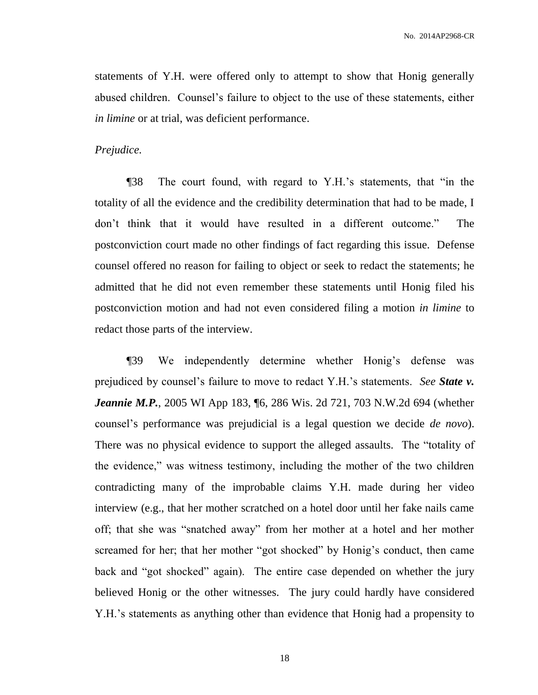statements of Y.H. were offered only to attempt to show that Honig generally abused children. Counsel's failure to object to the use of these statements, either *in limine* or at trial, was deficient performance.

#### *Prejudice.*

¶38 The court found, with regard to Y.H.'s statements, that "in the totality of all the evidence and the credibility determination that had to be made, I don't think that it would have resulted in a different outcome." The postconviction court made no other findings of fact regarding this issue. Defense counsel offered no reason for failing to object or seek to redact the statements; he admitted that he did not even remember these statements until Honig filed his postconviction motion and had not even considered filing a motion *in limine* to redact those parts of the interview.

¶39 We independently determine whether Honig's defense was prejudiced by counsel's failure to move to redact Y.H.'s statements. *See State v. Jeannie M.P.*, 2005 WI App 183, [6, 286 Wis. 2d 721, 703 N.W.2d 694 (whether counsel's performance was prejudicial is a legal question we decide *de novo*). There was no physical evidence to support the alleged assaults. The "totality of the evidence," was witness testimony, including the mother of the two children contradicting many of the improbable claims Y.H. made during her video interview (e.g., that her mother scratched on a hotel door until her fake nails came off; that she was "snatched away" from her mother at a hotel and her mother screamed for her; that her mother "got shocked" by Honig's conduct, then came back and "got shocked" again). The entire case depended on whether the jury believed Honig or the other witnesses. The jury could hardly have considered Y.H.'s statements as anything other than evidence that Honig had a propensity to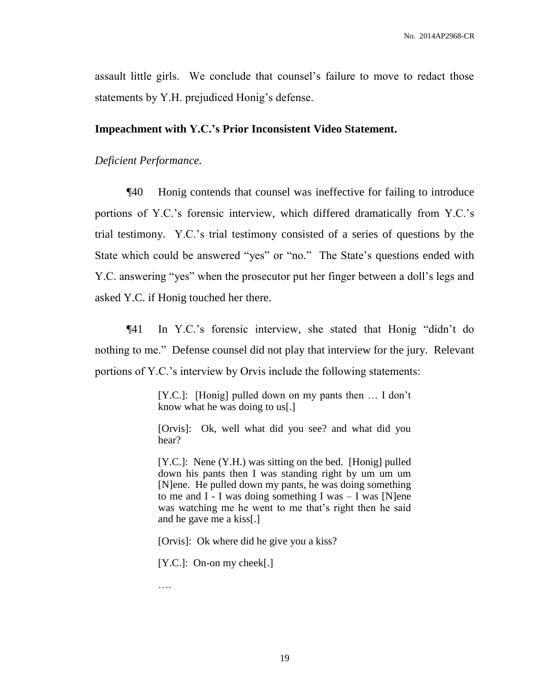assault little girls. We conclude that counsel's failure to move to redact those statements by Y.H. prejudiced Honig's defense.

#### **Impeachment with Y.C.'s Prior Inconsistent Video Statement.**

## *Deficient Performance.*

¶40 Honig contends that counsel was ineffective for failing to introduce portions of Y.C.'s forensic interview, which differed dramatically from Y.C.'s trial testimony. Y.C.'s trial testimony consisted of a series of questions by the State which could be answered "yes" or "no." The State's questions ended with Y.C. answering "yes" when the prosecutor put her finger between a doll's legs and asked Y.C. if Honig touched her there.

¶41 In Y.C.'s forensic interview, she stated that Honig "didn't do nothing to me." Defense counsel did not play that interview for the jury. Relevant portions of Y.C.'s interview by Orvis include the following statements:

> [Y.C.]: [Honig] pulled down on my pants then … I don't know what he was doing to us[.]

> [Orvis]: Ok, well what did you see? and what did you hear?

> [Y.C.]: Nene (Y.H.) was sitting on the bed. [Honig] pulled down his pants then I was standing right by um um um [N]ene. He pulled down my pants, he was doing something to me and  $I - I$  was doing something I was  $-I$  was [N]ene was watching me he went to me that's right then he said and he gave me a kiss[.]

[Orvis]: Ok where did he give you a kiss?

[Y.C.]: On-on my cheek[.]

….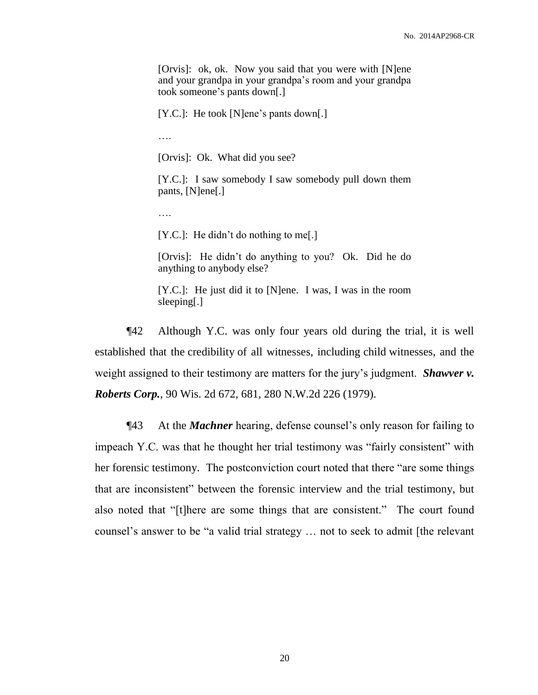[Orvis]: ok, ok. Now you said that you were with [N]ene and your grandpa in your grandpa's room and your grandpa took someone's pants down[.]

[Y.C.]: He took [N]ene's pants down[.]

….

[Orvis]: Ok. What did you see?

[Y.C.]: I saw somebody I saw somebody pull down them pants, [N]ene[.]

….

[Y.C.]: He didn't do nothing to me[.]

[Orvis]: He didn't do anything to you? Ok. Did he do anything to anybody else?

[Y.C.]: He just did it to [N]ene. I was, I was in the room sleeping[.]

¶42 Although Y.C. was only four years old during the trial, it is well established that the credibility of all witnesses, including child witnesses, and the weight assigned to their testimony are matters for the jury's judgment. *Shawver v. Roberts Corp.*, 90 Wis. 2d 672, 681, 280 N.W.2d 226 (1979).

¶43 At the *Machner* hearing, defense counsel's only reason for failing to impeach Y.C. was that he thought her trial testimony was "fairly consistent" with her forensic testimony. The postconviction court noted that there "are some things that are inconsistent" between the forensic interview and the trial testimony, but also noted that "[t]here are some things that are consistent." The court found counsel's answer to be "a valid trial strategy … not to seek to admit [the relevant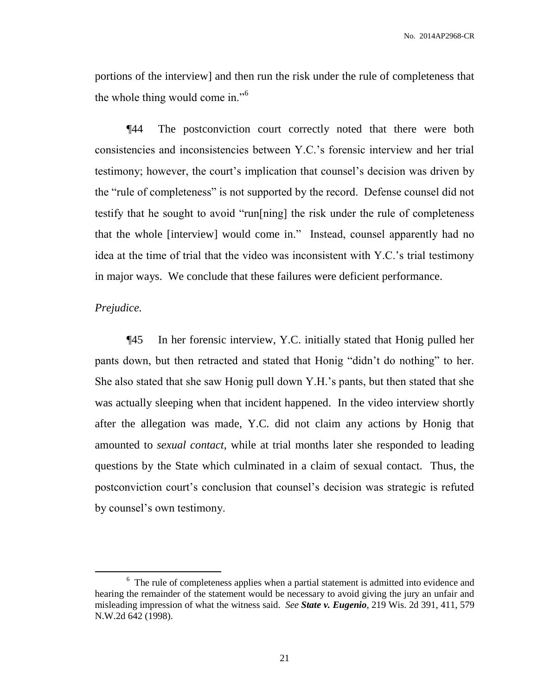No. 2014AP2968-CR

portions of the interview] and then run the risk under the rule of completeness that the whole thing would come in."<sup>6</sup>

¶44 The postconviction court correctly noted that there were both consistencies and inconsistencies between Y.C.'s forensic interview and her trial testimony; however, the court's implication that counsel's decision was driven by the "rule of completeness" is not supported by the record. Defense counsel did not testify that he sought to avoid "run[ning] the risk under the rule of completeness that the whole [interview] would come in." Instead, counsel apparently had no idea at the time of trial that the video was inconsistent with Y.C.'s trial testimony in major ways. We conclude that these failures were deficient performance.

#### *Prejudice.*

 $\overline{a}$ 

¶45 In her forensic interview, Y.C. initially stated that Honig pulled her pants down, but then retracted and stated that Honig "didn't do nothing" to her. She also stated that she saw Honig pull down Y.H.'s pants, but then stated that she was actually sleeping when that incident happened. In the video interview shortly after the allegation was made, Y.C. did not claim any actions by Honig that amounted to *sexual contact*, while at trial months later she responded to leading questions by the State which culminated in a claim of sexual contact. Thus, the postconviction court's conclusion that counsel's decision was strategic is refuted by counsel's own testimony.

<sup>&</sup>lt;sup>6</sup> The rule of completeness applies when a partial statement is admitted into evidence and hearing the remainder of the statement would be necessary to avoid giving the jury an unfair and misleading impression of what the witness said. *See State v. Eugenio*, 219 Wis. 2d 391, 411, 579 N.W.2d 642 (1998).